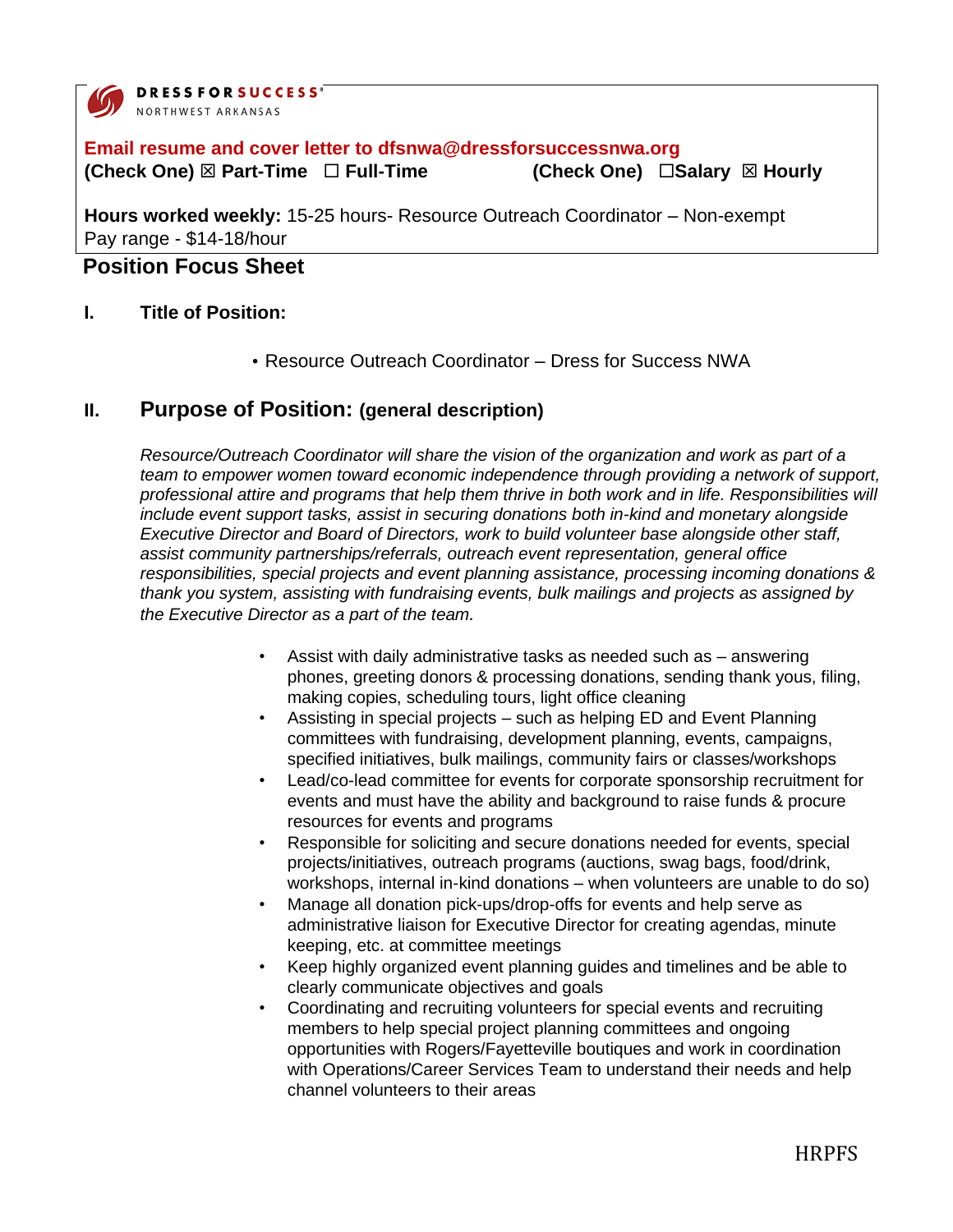

**DRESSFORSUCCESS®** NORTHWEST ARKANSAS

### **Email resume and cover letter to dfsnwa@dressforsuccessnwa.org (Check One) ⊠ Part-Time**  □ Full-Time **(Check One)** □ Salary **⊠ Hourly**

**Hours worked weekly:** 15-25 hours- Resource Outreach Coordinator – Non-exempt Pay range - \$14-18/hour

# **Position Focus Sheet**

#### **I. Title of Position:**

• Resource Outreach Coordinator – Dress for Success NWA

### **II. Purpose of Position: (general description)**

*Resource/Outreach Coordinator will share the vision of the organization and work as part of a team to empower women toward economic independence through providing a network of support, professional attire and programs that help them thrive in both work and in life. Responsibilities will include event support tasks, assist in securing donations both in-kind and monetary alongside Executive Director and Board of Directors, work to build volunteer base alongside other staff, assist community partnerships/referrals, outreach event representation, general office responsibilities, special projects and event planning assistance, processing incoming donations & thank you system, assisting with fundraising events, bulk mailings and projects as assigned by the Executive Director as a part of the team.* 

- Assist with daily administrative tasks as needed such as answering phones, greeting donors & processing donations, sending thank yous, filing, making copies, scheduling tours, light office cleaning
- Assisting in special projects such as helping ED and Event Planning committees with fundraising, development planning, events, campaigns, specified initiatives, bulk mailings, community fairs or classes/workshops
- Lead/co-lead committee for events for corporate sponsorship recruitment for events and must have the ability and background to raise funds & procure resources for events and programs
- Responsible for soliciting and secure donations needed for events, special projects/initiatives, outreach programs (auctions, swag bags, food/drink, workshops, internal in-kind donations – when volunteers are unable to do so)
- Manage all donation pick-ups/drop-offs for events and help serve as administrative liaison for Executive Director for creating agendas, minute keeping, etc. at committee meetings
- Keep highly organized event planning guides and timelines and be able to clearly communicate objectives and goals
- Coordinating and recruiting volunteers for special events and recruiting members to help special project planning committees and ongoing opportunities with Rogers/Fayetteville boutiques and work in coordination with Operations/Career Services Team to understand their needs and help channel volunteers to their areas